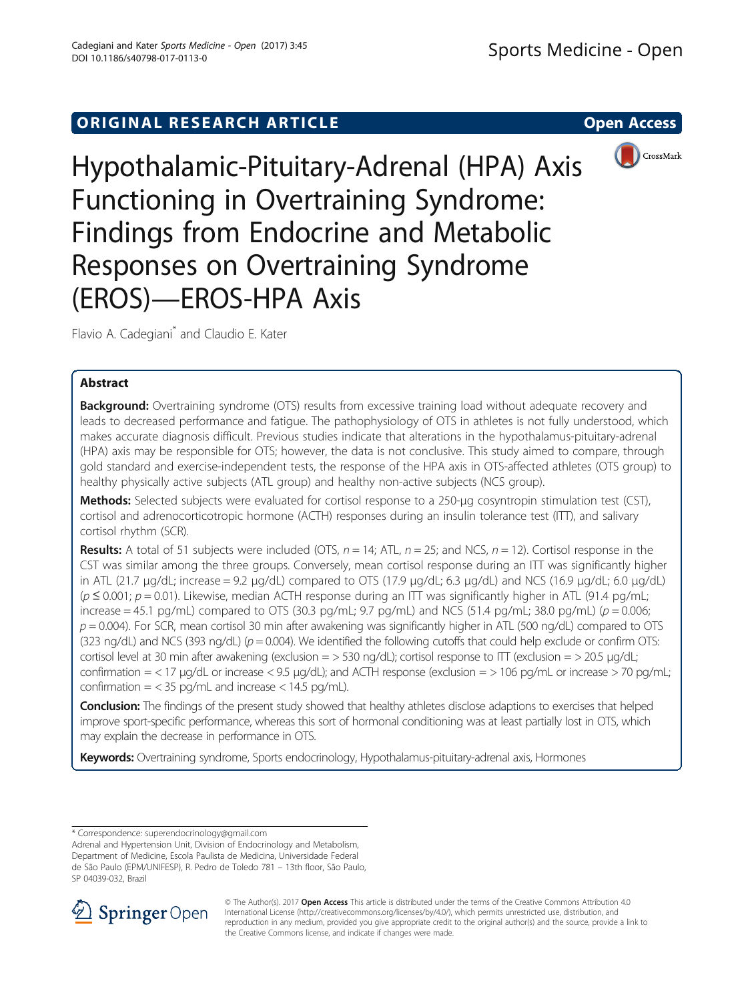# ORIGINAL RESEARCH ARTICLE **External of the Contract Contract Contract Contract Contract Contract Contract Contract Contract Contract Contract Contract Contract Contract Contract Contract Contract Contract Contract Contract**



Hypothalamic-Pituitary-Adrenal (HPA) Axis Functioning in Overtraining Syndrome: Findings from Endocrine and Metabolic Responses on Overtraining Syndrome (EROS)—EROS-HPA Axis

Flavio A. Cadegiani\* and Claudio E. Kater

## Abstract

**Background:** Overtraining syndrome (OTS) results from excessive training load without adequate recovery and leads to decreased performance and fatigue. The pathophysiology of OTS in athletes is not fully understood, which makes accurate diagnosis difficult. Previous studies indicate that alterations in the hypothalamus-pituitary-adrenal (HPA) axis may be responsible for OTS; however, the data is not conclusive. This study aimed to compare, through gold standard and exercise-independent tests, the response of the HPA axis in OTS-affected athletes (OTS group) to healthy physically active subjects (ATL group) and healthy non-active subjects (NCS group).

Methods: Selected subjects were evaluated for cortisol response to a 250-µg cosyntropin stimulation test (CST), cortisol and adrenocorticotropic hormone (ACTH) responses during an insulin tolerance test (ITT), and salivary cortisol rhythm (SCR).

**Results:** A total of 51 subjects were included (OTS,  $n = 14$ ; ATL,  $n = 25$ ; and NCS,  $n = 12$ ). Cortisol response in the CST was similar among the three groups. Conversely, mean cortisol response during an ITT was significantly higher in ATL (21.7 μg/dL; increase = 9.2 μg/dL) compared to OTS (17.9 μg/dL; 6.3 μg/dL) and NCS (16.9 μg/dL) 6.0 μg/dL)  $(p \le 0.001; p = 0.01)$ . Likewise, median ACTH response during an ITT was significantly higher in ATL (91.4 pg/mL; increase = 45.1 pg/mL) compared to OTS (30.3 pg/mL; 9.7 pg/mL) and NCS (51.4 pg/mL; 38.0 pg/mL) ( $p = 0.006$ ;  $p = 0.004$ ). For SCR, mean cortisol 30 min after awakening was significantly higher in ATL (500 ng/dL) compared to OTS (323 ng/dL) and NCS (393 ng/dL)  $(p = 0.004)$ . We identified the following cutoffs that could help exclude or confirm OTS: cortisol level at 30 min after awakening (exclusion =  $>$  530 ng/dL); cortisol response to ITT (exclusion =  $>$  20.5 µg/dL; confirmation = < 17 μg/dL or increase < 9.5 μg/dL); and ACTH response (exclusion = > 106 pg/mL or increase > 70 pg/mL; confirmation  $=$  < 35 pg/mL and increase < 14.5 pg/mL).

**Conclusion:** The findings of the present study showed that healthy athletes disclose adaptions to exercises that helped improve sport-specific performance, whereas this sort of hormonal conditioning was at least partially lost in OTS, which may explain the decrease in performance in OTS.

Keywords: Overtraining syndrome, Sports endocrinology, Hypothalamus-pituitary-adrenal axis, Hormones

\* Correspondence: [superendocrinology@gmail.com](mailto:superendocrinology@gmail.com)

Adrenal and Hypertension Unit, Division of Endocrinology and Metabolism, Department of Medicine, Escola Paulista de Medicina, Universidade Federal de São Paulo (EPM/UNIFESP), R. Pedro de Toledo 781 – 13th floor, São Paulo, SP 04039-032, Brazil



© The Author(s). 2017 **Open Access** This article is distributed under the terms of the Creative Commons Attribution 4.0 International License ([http://creativecommons.org/licenses/by/4.0/\)](http://creativecommons.org/licenses/by/4.0/), which permits unrestricted use, distribution, and reproduction in any medium, provided you give appropriate credit to the original author(s) and the source, provide a link to the Creative Commons license, and indicate if changes were made.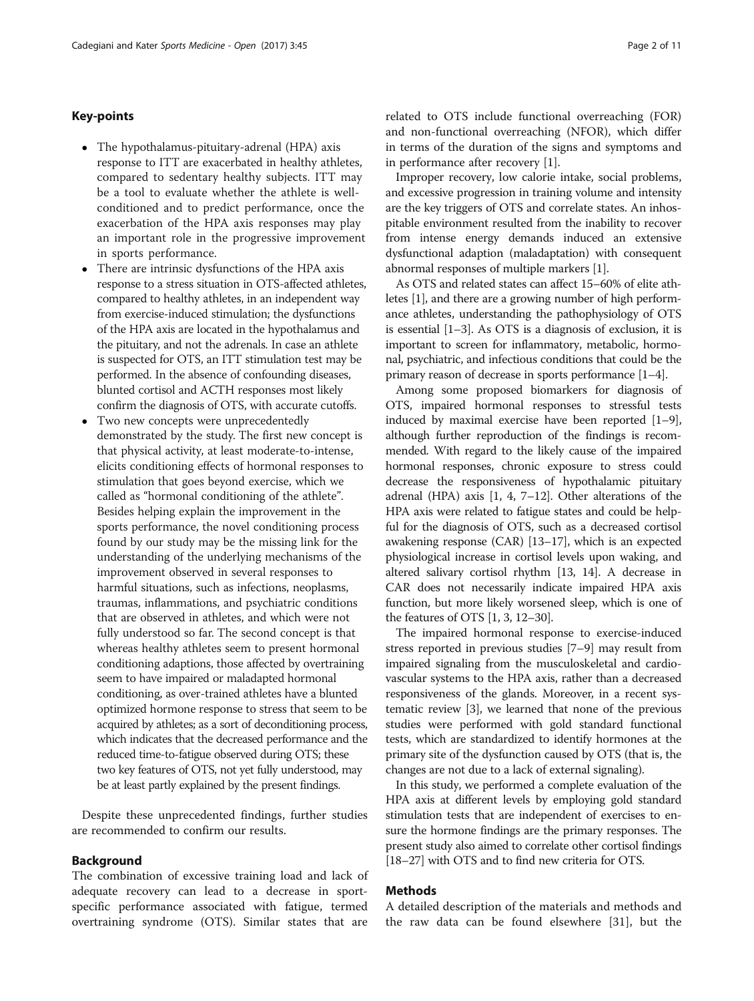## Key-points

- The hypothalamus-pituitary-adrenal (HPA) axis response to ITT are exacerbated in healthy athletes, compared to sedentary healthy subjects. ITT may be a tool to evaluate whether the athlete is wellconditioned and to predict performance, once the exacerbation of the HPA axis responses may play an important role in the progressive improvement in sports performance.
- There are intrinsic dysfunctions of the HPA axis response to a stress situation in OTS-affected athletes, compared to healthy athletes, in an independent way from exercise-induced stimulation; the dysfunctions of the HPA axis are located in the hypothalamus and the pituitary, and not the adrenals. In case an athlete is suspected for OTS, an ITT stimulation test may be performed. In the absence of confounding diseases, blunted cortisol and ACTH responses most likely confirm the diagnosis of OTS, with accurate cutoffs.
- Two new concepts were unprecedentedly demonstrated by the study. The first new concept is that physical activity, at least moderate-to-intense, elicits conditioning effects of hormonal responses to stimulation that goes beyond exercise, which we called as "hormonal conditioning of the athlete". Besides helping explain the improvement in the sports performance, the novel conditioning process found by our study may be the missing link for the understanding of the underlying mechanisms of the improvement observed in several responses to harmful situations, such as infections, neoplasms, traumas, inflammations, and psychiatric conditions that are observed in athletes, and which were not fully understood so far. The second concept is that whereas healthy athletes seem to present hormonal conditioning adaptions, those affected by overtraining seem to have impaired or maladapted hormonal conditioning, as over-trained athletes have a blunted optimized hormone response to stress that seem to be acquired by athletes; as a sort of deconditioning process, which indicates that the decreased performance and the reduced time-to-fatigue observed during OTS; these two key features of OTS, not yet fully understood, may be at least partly explained by the present findings.

Despite these unprecedented findings, further studies are recommended to confirm our results.

## Background

The combination of excessive training load and lack of adequate recovery can lead to a decrease in sportspecific performance associated with fatigue, termed overtraining syndrome (OTS). Similar states that are

related to OTS include functional overreaching (FOR) and non-functional overreaching (NFOR), which differ in terms of the duration of the signs and symptoms and in performance after recovery [[1](#page-10-0)].

Improper recovery, low calorie intake, social problems, and excessive progression in training volume and intensity are the key triggers of OTS and correlate states. An inhospitable environment resulted from the inability to recover from intense energy demands induced an extensive dysfunctional adaption (maladaptation) with consequent abnormal responses of multiple markers [\[1](#page-10-0)].

As OTS and related states can affect 15–60% of elite athletes [\[1](#page-10-0)], and there are a growing number of high performance athletes, understanding the pathophysiology of OTS is essential [[1](#page-10-0)–[3](#page-10-0)]. As OTS is a diagnosis of exclusion, it is important to screen for inflammatory, metabolic, hormonal, psychiatric, and infectious conditions that could be the primary reason of decrease in sports performance [\[1](#page-10-0)–[4\]](#page-10-0).

Among some proposed biomarkers for diagnosis of OTS, impaired hormonal responses to stressful tests induced by maximal exercise have been reported [\[1](#page-10-0)–[9](#page-10-0)], although further reproduction of the findings is recommended. With regard to the likely cause of the impaired hormonal responses, chronic exposure to stress could decrease the responsiveness of hypothalamic pituitary adrenal (HPA) axis [[1, 4](#page-10-0), [7](#page-10-0)–[12\]](#page-10-0). Other alterations of the HPA axis were related to fatigue states and could be helpful for the diagnosis of OTS, such as a decreased cortisol awakening response (CAR) [\[13](#page-10-0)–[17](#page-10-0)], which is an expected physiological increase in cortisol levels upon waking, and altered salivary cortisol rhythm [\[13, 14](#page-10-0)]. A decrease in CAR does not necessarily indicate impaired HPA axis function, but more likely worsened sleep, which is one of the features of OTS [\[1](#page-10-0), [3, 12](#page-10-0)–[30](#page-10-0)].

The impaired hormonal response to exercise-induced stress reported in previous studies [[7](#page-10-0)–[9](#page-10-0)] may result from impaired signaling from the musculoskeletal and cardiovascular systems to the HPA axis, rather than a decreased responsiveness of the glands. Moreover, in a recent systematic review [\[3\]](#page-10-0), we learned that none of the previous studies were performed with gold standard functional tests, which are standardized to identify hormones at the primary site of the dysfunction caused by OTS (that is, the changes are not due to a lack of external signaling).

In this study, we performed a complete evaluation of the HPA axis at different levels by employing gold standard stimulation tests that are independent of exercises to ensure the hormone findings are the primary responses. The present study also aimed to correlate other cortisol findings [[18](#page-10-0)–[27\]](#page-10-0) with OTS and to find new criteria for OTS.

## Methods

A detailed description of the materials and methods and the raw data can be found elsewhere [\[31](#page-10-0)], but the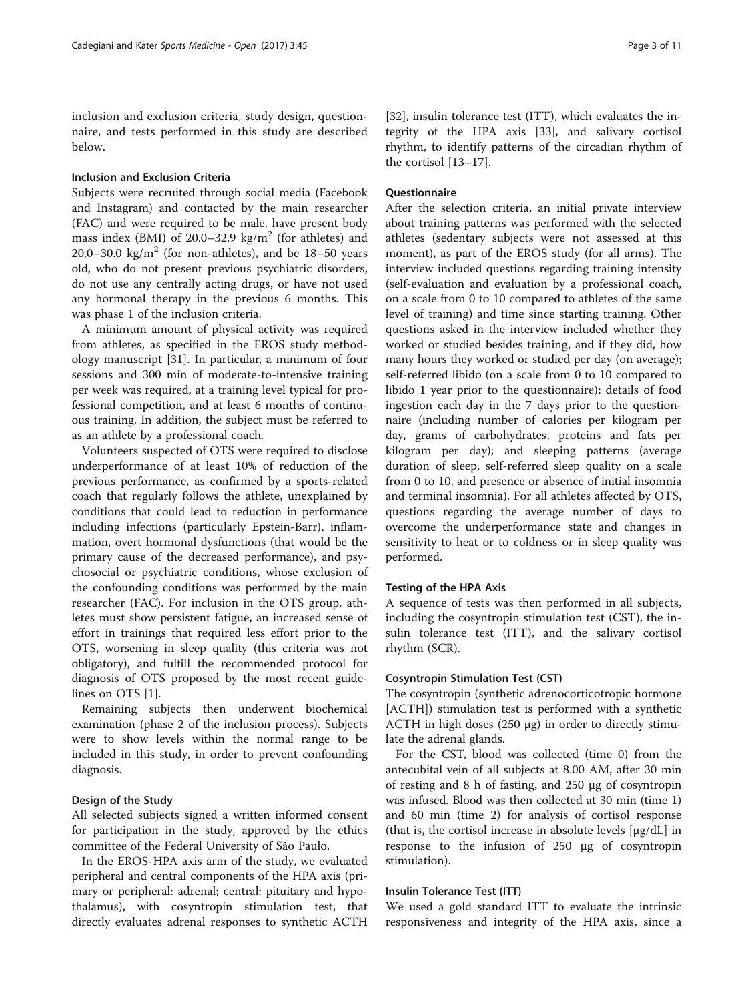inclusion and exclusion criteria, study design, questionnaire, and tests performed in this study are described below.

## Inclusion and Exclusion Criteria

Subjects were recruited through social media (Facebook and Instagram) and contacted by the main researcher (FAC) and were required to be male, have present body mass index (BMI) of  $20.0-32.9$  kg/m<sup>2</sup> (for athletes) and 20.0–30.0 kg/m<sup>2</sup> (for non-athletes), and be  $18-50$  years old, who do not present previous psychiatric disorders, do not use any centrally acting drugs, or have not used any hormonal therapy in the previous 6 months. This was phase 1 of the inclusion criteria.

A minimum amount of physical activity was required from athletes, as specified in the EROS study methodology manuscript [[31\]](#page-10-0). In particular, a minimum of four sessions and 300 min of moderate-to-intensive training per week was required, at a training level typical for professional competition, and at least 6 months of continuous training. In addition, the subject must be referred to as an athlete by a professional coach.

Volunteers suspected of OTS were required to disclose underperformance of at least 10% of reduction of the previous performance, as confirmed by a sports-related coach that regularly follows the athlete, unexplained by conditions that could lead to reduction in performance including infections (particularly Epstein-Barr), inflammation, overt hormonal dysfunctions (that would be the primary cause of the decreased performance), and psychosocial or psychiatric conditions, whose exclusion of the confounding conditions was performed by the main researcher (FAC). For inclusion in the OTS group, athletes must show persistent fatigue, an increased sense of effort in trainings that required less effort prior to the OTS, worsening in sleep quality (this criteria was not obligatory), and fulfill the recommended protocol for diagnosis of OTS proposed by the most recent guidelines on OTS [\[1](#page-10-0)].

Remaining subjects then underwent biochemical examination (phase 2 of the inclusion process). Subjects were to show levels within the normal range to be included in this study, in order to prevent confounding diagnosis.

## Design of the Study

All selected subjects signed a written informed consent for participation in the study, approved by the ethics committee of the Federal University of São Paulo.

In the EROS-HPA axis arm of the study, we evaluated peripheral and central components of the HPA axis (primary or peripheral: adrenal; central: pituitary and hypothalamus), with cosyntropin stimulation test, that directly evaluates adrenal responses to synthetic ACTH

[[32\]](#page-10-0), insulin tolerance test (ITT), which evaluates the integrity of the HPA axis [\[33\]](#page-10-0), and salivary cortisol rhythm, to identify patterns of the circadian rhythm of the cortisol [\[13](#page-10-0)–[17\]](#page-10-0).

## Questionnaire

After the selection criteria, an initial private interview about training patterns was performed with the selected athletes (sedentary subjects were not assessed at this moment), as part of the EROS study (for all arms). The interview included questions regarding training intensity (self-evaluation and evaluation by a professional coach, on a scale from 0 to 10 compared to athletes of the same level of training) and time since starting training. Other questions asked in the interview included whether they worked or studied besides training, and if they did, how many hours they worked or studied per day (on average); self-referred libido (on a scale from 0 to 10 compared to libido 1 year prior to the questionnaire); details of food ingestion each day in the 7 days prior to the questionnaire (including number of calories per kilogram per day, grams of carbohydrates, proteins and fats per kilogram per day); and sleeping patterns (average duration of sleep, self-referred sleep quality on a scale from 0 to 10, and presence or absence of initial insomnia and terminal insomnia). For all athletes affected by OTS, questions regarding the average number of days to overcome the underperformance state and changes in sensitivity to heat or to coldness or in sleep quality was performed.

#### Testing of the HPA Axis

A sequence of tests was then performed in all subjects, including the cosyntropin stimulation test (CST), the insulin tolerance test (ITT), and the salivary cortisol rhythm (SCR).

### Cosyntropin Stimulation Test (CST)

The cosyntropin (synthetic adrenocorticotropic hormone [ACTH]) stimulation test is performed with a synthetic ACTH in high doses (250 μg) in order to directly stimulate the adrenal glands.

For the CST, blood was collected (time 0) from the antecubital vein of all subjects at 8.00 AM, after 30 min of resting and 8 h of fasting, and 250 μg of cosyntropin was infused. Blood was then collected at 30 min (time 1) and 60 min (time 2) for analysis of cortisol response (that is, the cortisol increase in absolute levels [μg/dL] in response to the infusion of 250 μg of cosyntropin stimulation).

## Insulin Tolerance Test (ITT)

We used a gold standard ITT to evaluate the intrinsic responsiveness and integrity of the HPA axis, since a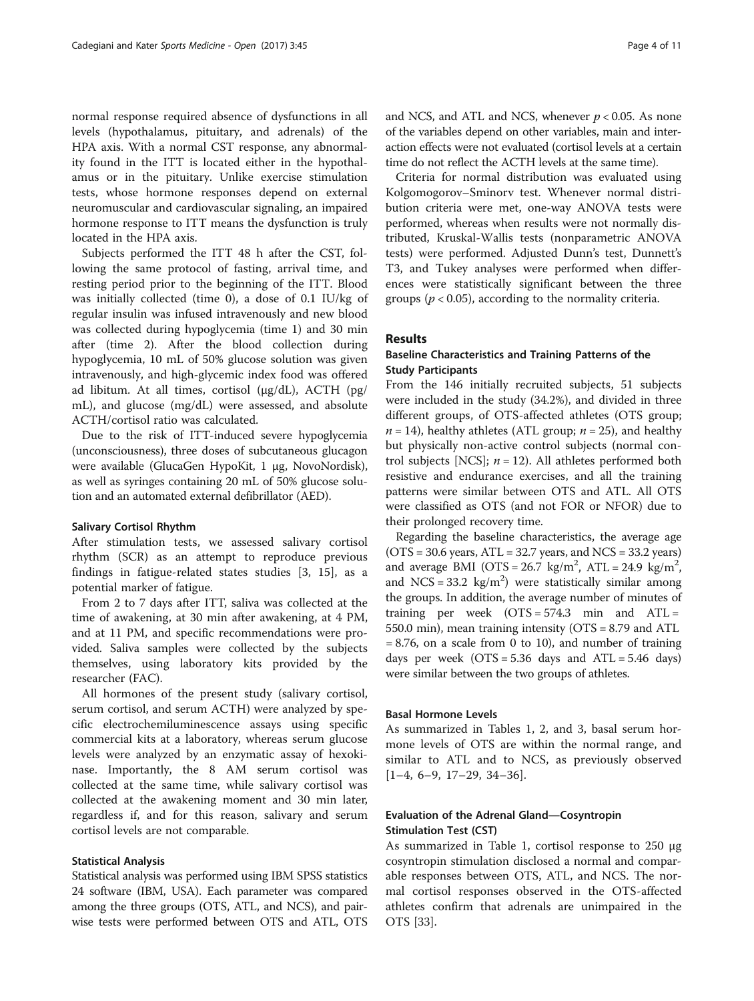normal response required absence of dysfunctions in all levels (hypothalamus, pituitary, and adrenals) of the HPA axis. With a normal CST response, any abnormality found in the ITT is located either in the hypothalamus or in the pituitary. Unlike exercise stimulation tests, whose hormone responses depend on external neuromuscular and cardiovascular signaling, an impaired hormone response to ITT means the dysfunction is truly located in the HPA axis.

Subjects performed the ITT 48 h after the CST, following the same protocol of fasting, arrival time, and resting period prior to the beginning of the ITT. Blood was initially collected (time 0), a dose of 0.1 IU/kg of regular insulin was infused intravenously and new blood was collected during hypoglycemia (time 1) and 30 min after (time 2). After the blood collection during hypoglycemia, 10 mL of 50% glucose solution was given intravenously, and high-glycemic index food was offered ad libitum. At all times, cortisol (μg/dL), ACTH (pg/ mL), and glucose (mg/dL) were assessed, and absolute ACTH/cortisol ratio was calculated.

Due to the risk of ITT-induced severe hypoglycemia (unconsciousness), three doses of subcutaneous glucagon were available (GlucaGen HypoKit, 1 μg, NovoNordisk), as well as syringes containing 20 mL of 50% glucose solution and an automated external defibrillator (AED).

#### Salivary Cortisol Rhythm

After stimulation tests, we assessed salivary cortisol rhythm (SCR) as an attempt to reproduce previous findings in fatigue-related states studies [[3](#page-10-0), [15](#page-10-0)], as a potential marker of fatigue.

From 2 to 7 days after ITT, saliva was collected at the time of awakening, at 30 min after awakening, at 4 PM, and at 11 PM, and specific recommendations were provided. Saliva samples were collected by the subjects themselves, using laboratory kits provided by the researcher (FAC).

All hormones of the present study (salivary cortisol, serum cortisol, and serum ACTH) were analyzed by specific electrochemiluminescence assays using specific commercial kits at a laboratory, whereas serum glucose levels were analyzed by an enzymatic assay of hexokinase. Importantly, the 8 AM serum cortisol was collected at the same time, while salivary cortisol was collected at the awakening moment and 30 min later, regardless if, and for this reason, salivary and serum cortisol levels are not comparable.

## Statistical Analysis

Statistical analysis was performed using IBM SPSS statistics 24 software (IBM, USA). Each parameter was compared among the three groups (OTS, ATL, and NCS), and pairwise tests were performed between OTS and ATL, OTS and NCS, and ATL and NCS, whenever  $p < 0.05$ . As none of the variables depend on other variables, main and interaction effects were not evaluated (cortisol levels at a certain time do not reflect the ACTH levels at the same time).

Criteria for normal distribution was evaluated using Kolgomogorov–Sminorv test. Whenever normal distribution criteria were met, one-way ANOVA tests were performed, whereas when results were not normally distributed, Kruskal-Wallis tests (nonparametric ANOVA tests) were performed. Adjusted Dunn's test, Dunnett's T3, and Tukey analyses were performed when differences were statistically significant between the three groups ( $p < 0.05$ ), according to the normality criteria.

## Results

## Baseline Characteristics and Training Patterns of the Study Participants

From the 146 initially recruited subjects, 51 subjects were included in the study (34.2%), and divided in three different groups, of OTS-affected athletes (OTS group;  $n = 14$ ), healthy athletes (ATL group;  $n = 25$ ), and healthy but physically non-active control subjects (normal control subjects [NCS];  $n = 12$ ). All athletes performed both resistive and endurance exercises, and all the training patterns were similar between OTS and ATL. All OTS were classified as OTS (and not FOR or NFOR) due to their prolonged recovery time.

Regarding the baseline characteristics, the average age  $(OTS = 30.6 \text{ years}, ATT = 32.7 \text{ years}, and NCS = 33.2 \text{ years})$ and average BMI (OTS =  $26.7 \text{ kg/m}^2$ , ATL =  $24.9 \text{ kg/m}^2$ , and NCS = 33.2  $\text{kg/m}^2$ ) were statistically similar among the groups. In addition, the average number of minutes of training per week  $(OTS = 574.3 \text{ min and } ATT =$ 550.0 min), mean training intensity (OTS = 8.79 and ATL  $= 8.76$ , on a scale from 0 to 10), and number of training days per week  $(OTS = 5.36$  days and  $ATL = 5.46$  days) were similar between the two groups of athletes.

## Basal Hormone Levels

As summarized in Tables [1](#page-4-0), [2](#page-4-0), and [3](#page-5-0), basal serum hormone levels of OTS are within the normal range, and similar to ATL and to NCS, as previously observed  $[1-4, 6-9, 17-29, 34-36].$  $[1-4, 6-9, 17-29, 34-36].$  $[1-4, 6-9, 17-29, 34-36].$  $[1-4, 6-9, 17-29, 34-36].$  $[1-4, 6-9, 17-29, 34-36].$  $[1-4, 6-9, 17-29, 34-36].$  $[1-4, 6-9, 17-29, 34-36].$  $[1-4, 6-9, 17-29, 34-36].$  $[1-4, 6-9, 17-29, 34-36].$  $[1-4, 6-9, 17-29, 34-36].$  $[1-4, 6-9, 17-29, 34-36].$  $[1-4, 6-9, 17-29, 34-36].$  $[1-4, 6-9, 17-29, 34-36].$  $[1-4, 6-9, 17-29, 34-36].$  $[1-4, 6-9, 17-29, 34-36].$  $[1-4, 6-9, 17-29, 34-36].$  $[1-4, 6-9, 17-29, 34-36].$ 

## Evaluation of the Adrenal Gland—Cosyntropin Stimulation Test (CST)

As summarized in Table [1,](#page-4-0) cortisol response to 250 μg cosyntropin stimulation disclosed a normal and comparable responses between OTS, ATL, and NCS. The normal cortisol responses observed in the OTS-affected athletes confirm that adrenals are unimpaired in the OTS [\[33\]](#page-10-0).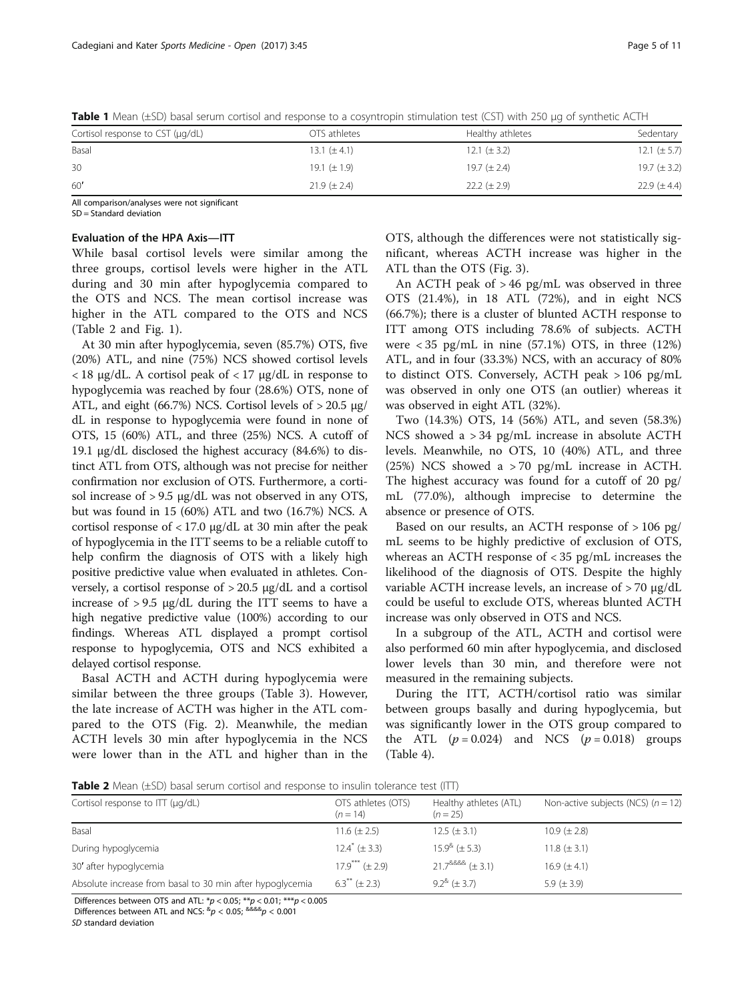| OTS athletes     | Healthy athletes | Sedentary         |
|------------------|------------------|-------------------|
| 13.1 $(\pm 4.1)$ | 12.1 $(\pm 3.2)$ | 12.1 $(\pm 5.7)$  |
| 19.1 $(\pm 1.9)$ | 19.7 $(\pm 2.4)$ | 19.7 ( $\pm$ 3.2) |
| $21.9 (\pm 2.4)$ | $22.2 (\pm 2.9)$ | 22.9 $(\pm 4.4)$  |
|                  |                  |                   |

<span id="page-4-0"></span>Table 1 Mean (±SD) basal serum cortisol and response to a cosyntropin stimulation test (CST) with 250 μg of synthetic ACTH

All comparison/analyses were not significant

SD = Standard deviation

#### Evaluation of the HPA Axis—ITT

While basal cortisol levels were similar among the three groups, cortisol levels were higher in the ATL during and 30 min after hypoglycemia compared to the OTS and NCS. The mean cortisol increase was higher in the ATL compared to the OTS and NCS (Table 2 and Fig. [1](#page-5-0)).

At 30 min after hypoglycemia, seven (85.7%) OTS, five (20%) ATL, and nine (75%) NCS showed cortisol levels  $<$  18 μg/dL. A cortisol peak of  $<$  17 μg/dL in response to hypoglycemia was reached by four (28.6%) OTS, none of ATL, and eight (66.7%) NCS. Cortisol levels of  $> 20.5 \mu$ g/ dL in response to hypoglycemia were found in none of OTS, 15 (60%) ATL, and three (25%) NCS. A cutoff of 19.1 μg/dL disclosed the highest accuracy (84.6%) to distinct ATL from OTS, although was not precise for neither confirmation nor exclusion of OTS. Furthermore, a cortisol increase of > 9.5 μg/dL was not observed in any OTS, but was found in 15 (60%) ATL and two (16.7%) NCS. A cortisol response of  $\langle 17.0 \text{ µg}/dL$  at 30 min after the peak of hypoglycemia in the ITT seems to be a reliable cutoff to help confirm the diagnosis of OTS with a likely high positive predictive value when evaluated in athletes. Conversely, a cortisol response of > 20.5 μg/dL and a cortisol increase of  $> 9.5 \mu g/dL$  during the ITT seems to have a high negative predictive value (100%) according to our findings. Whereas ATL displayed a prompt cortisol response to hypoglycemia, OTS and NCS exhibited a delayed cortisol response.

Basal ACTH and ACTH during hypoglycemia were similar between the three groups (Table [3\)](#page-5-0). However, the late increase of ACTH was higher in the ATL compared to the OTS (Fig. [2\)](#page-6-0). Meanwhile, the median ACTH levels 30 min after hypoglycemia in the NCS were lower than in the ATL and higher than in the

OTS, although the differences were not statistically significant, whereas ACTH increase was higher in the ATL than the OTS (Fig. [3\)](#page-6-0).

An ACTH peak of  $> 46$  pg/mL was observed in three OTS (21.4%), in 18 ATL (72%), and in eight NCS (66.7%); there is a cluster of blunted ACTH response to ITT among OTS including 78.6% of subjects. ACTH were < 35 pg/mL in nine (57.1%) OTS, in three (12%) ATL, and in four (33.3%) NCS, with an accuracy of 80% to distinct OTS. Conversely, ACTH peak > 106 pg/mL was observed in only one OTS (an outlier) whereas it was observed in eight ATL (32%).

Two (14.3%) OTS, 14 (56%) ATL, and seven (58.3%) NCS showed a > 34 pg/mL increase in absolute ACTH levels. Meanwhile, no OTS, 10 (40%) ATL, and three (25%) NCS showed a > 70 pg/mL increase in ACTH. The highest accuracy was found for a cutoff of 20 pg/ mL (77.0%), although imprecise to determine the absence or presence of OTS.

Based on our results, an ACTH response of  $> 106$  pg/ mL seems to be highly predictive of exclusion of OTS, whereas an ACTH response of < 35 pg/mL increases the likelihood of the diagnosis of OTS. Despite the highly variable ACTH increase levels, an increase of > 70 μg/dL could be useful to exclude OTS, whereas blunted ACTH increase was only observed in OTS and NCS.

In a subgroup of the ATL, ACTH and cortisol were also performed 60 min after hypoglycemia, and disclosed lower levels than 30 min, and therefore were not measured in the remaining subjects.

During the ITT, ACTH/cortisol ratio was similar between groups basally and during hypoglycemia, but was significantly lower in the OTS group compared to the ATL  $(p = 0.024)$  and NCS  $(p = 0.018)$  groups (Table [4\)](#page-7-0).

Table 2 Mean (+SD) basal serum cortisol and response to insulin tolerance test (ITT)

| Cortisol response to ITT (µg/dL)                          | OTS athletes (OTS)<br>$(n = 14)$ | Healthy athletes (ATL)<br>$(n = 25)$ | Non-active subjects (NCS) $(n = 12)$ |
|-----------------------------------------------------------|----------------------------------|--------------------------------------|--------------------------------------|
| Basal                                                     | 11.6 $(\pm 2.5)$                 | $12.5 (\pm 3.1)$                     | $10.9 (\pm 2.8)$                     |
| During hypoglycemia                                       | $12.4^{\ast}$ ( $\pm$ 3.3)       | $15.9^8$ ( $\pm$ 5.3)                | 11.8 $(\pm 3.1)$                     |
| 30' after hypoglycemia                                    | $17.9***$ (± 2.9)                | $21.7^{8.8.8.8}$ (± 3.1)             | $16.9 \ (\pm 4.1)$                   |
| Absolute increase from basal to 30 min after hypoglycemia | $6.3$ <sup>**</sup> ( $\pm$ 2.3) | $9.2^8$ ( $\pm$ 3.7)                 | 5.9 ( $\pm$ 3.9)                     |

Differences between OTS and ATL:  $*p < 0.05$ ;  $**p < 0.01$ ;  $***p < 0.005$ 

Differences between ATL and NCS:  $\frac{\dot{\alpha}}{p}$  < 0.05;  $\frac{8.888}{p}$  < 0.001

SD standard deviation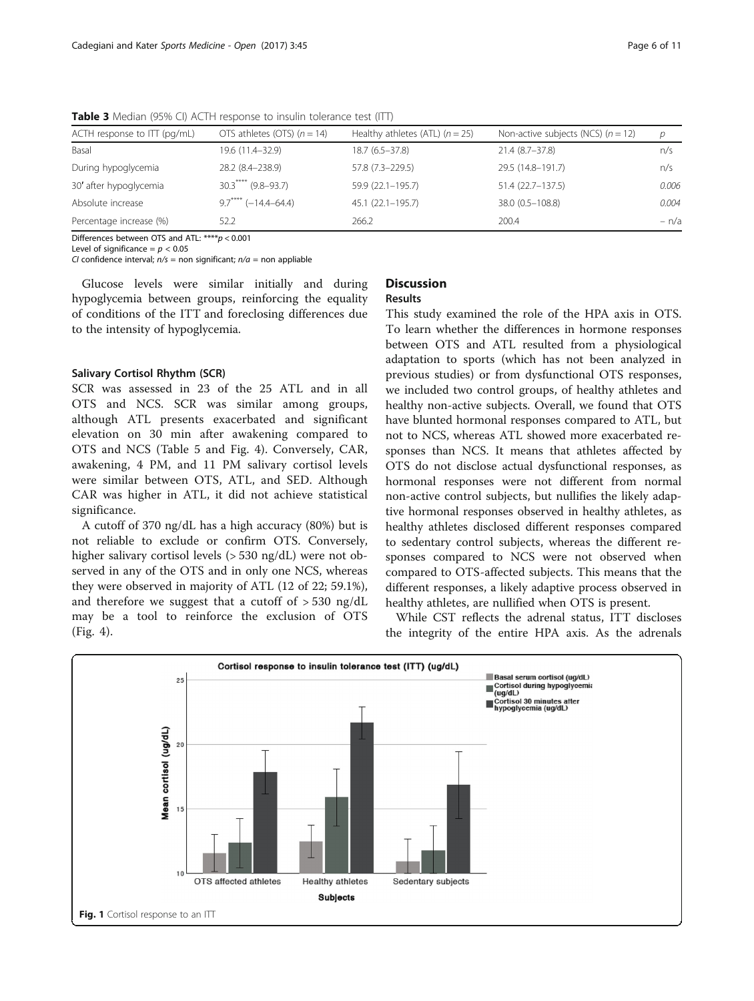| ACTH response to ITT (pg/mL) | OTS athletes (OTS) $(n = 14)$ | Healthy athletes (ATL) $(n = 25)$ | Non-active subjects (NCS) $(n = 12)$ | D       |
|------------------------------|-------------------------------|-----------------------------------|--------------------------------------|---------|
| Basal                        | 19.6 (11.4-32.9)              | $18.7(6.5 - 37.8)$                | $21.4(8.7-37.8)$                     | n/s     |
| During hypoglycemia          | 28.2 (8.4-238.9)              | 57.8 (7.3-229.5)                  | 29.5 (14.8-191.7)                    | n/s     |
| 30' after hypoglycemia       | $30.3$ **** (9.8–93.7)        | 59.9 (22.1-195.7)                 | $51.4(22.7-137.5)$                   | 0.006   |
| Absolute increase            | $^{\circ}$ (-14.4-64.4)       | $45.1(22.1 - 195.7)$              | 38.0 (0.5-108.8)                     | 0.004   |
| Percentage increase (%)      | 52.2                          | 266.2                             | 200.4                                | $- n/a$ |

<span id="page-5-0"></span>Table 3 Median (95% CI) ACTH response to insulin tolerance test (ITT)

Differences between OTS and ATL: \*\*\*\*p < 0.001

Level of significance =  $p < 0.05$ 

CI confidence interval;  $n/s =$  non significant;  $n/a =$  non appliable

Glucose levels were similar initially and during hypoglycemia between groups, reinforcing the equality of conditions of the ITT and foreclosing differences due to the intensity of hypoglycemia.

## Salivary Cortisol Rhythm (SCR)

SCR was assessed in 23 of the 25 ATL and in all OTS and NCS. SCR was similar among groups, although ATL presents exacerbated and significant elevation on 30 min after awakening compared to OTS and NCS (Table [5](#page-7-0) and Fig. [4](#page-8-0)). Conversely, CAR, awakening, 4 PM, and 11 PM salivary cortisol levels were similar between OTS, ATL, and SED. Although CAR was higher in ATL, it did not achieve statistical significance.

A cutoff of 370 ng/dL has a high accuracy (80%) but is not reliable to exclude or confirm OTS. Conversely, higher salivary cortisol levels (> 530 ng/dL) were not observed in any of the OTS and in only one NCS, whereas they were observed in majority of ATL (12 of 22; 59.1%), and therefore we suggest that a cutoff of  $> 530$  ng/dL may be a tool to reinforce the exclusion of OTS (Fig. [4\)](#page-8-0).

## **Discussion**

#### Results

This study examined the role of the HPA axis in OTS. To learn whether the differences in hormone responses between OTS and ATL resulted from a physiological adaptation to sports (which has not been analyzed in previous studies) or from dysfunctional OTS responses, we included two control groups, of healthy athletes and healthy non-active subjects. Overall, we found that OTS have blunted hormonal responses compared to ATL, but not to NCS, whereas ATL showed more exacerbated responses than NCS. It means that athletes affected by OTS do not disclose actual dysfunctional responses, as hormonal responses were not different from normal non-active control subjects, but nullifies the likely adaptive hormonal responses observed in healthy athletes, as healthy athletes disclosed different responses compared to sedentary control subjects, whereas the different responses compared to NCS were not observed when compared to OTS-affected subjects. This means that the different responses, a likely adaptive process observed in healthy athletes, are nullified when OTS is present.

While CST reflects the adrenal status, ITT discloses the integrity of the entire HPA axis. As the adrenals

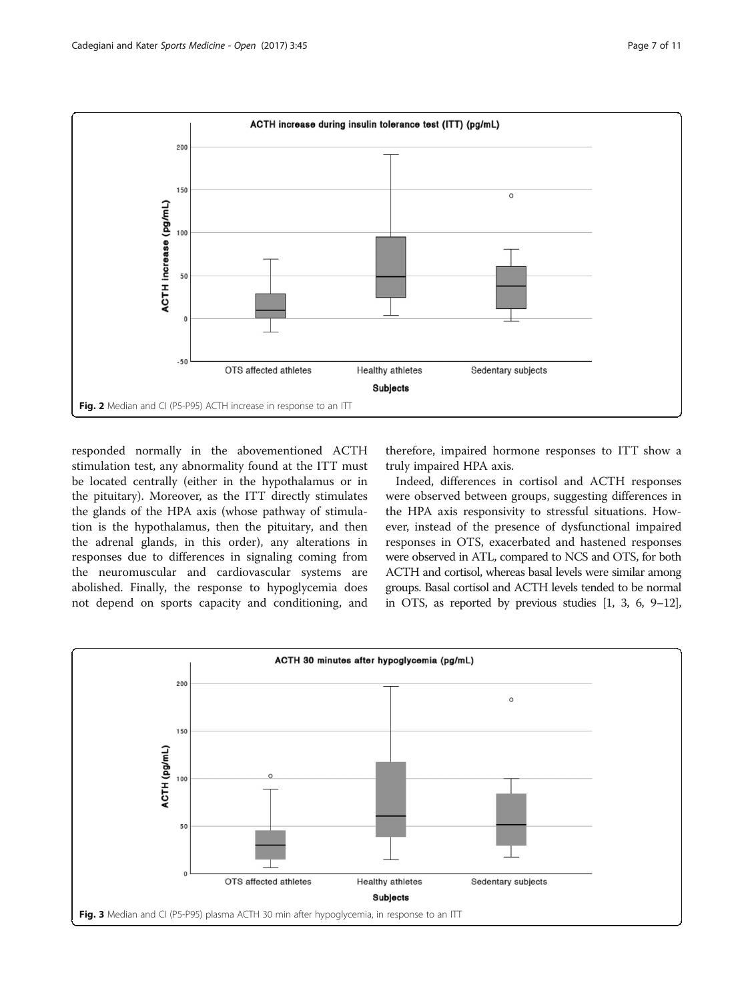<span id="page-6-0"></span>

responded normally in the abovementioned ACTH stimulation test, any abnormality found at the ITT must be located centrally (either in the hypothalamus or in the pituitary). Moreover, as the ITT directly stimulates the glands of the HPA axis (whose pathway of stimulation is the hypothalamus, then the pituitary, and then the adrenal glands, in this order), any alterations in responses due to differences in signaling coming from the neuromuscular and cardiovascular systems are abolished. Finally, the response to hypoglycemia does not depend on sports capacity and conditioning, and

therefore, impaired hormone responses to ITT show a truly impaired HPA axis.

Indeed, differences in cortisol and ACTH responses were observed between groups, suggesting differences in the HPA axis responsivity to stressful situations. However, instead of the presence of dysfunctional impaired responses in OTS, exacerbated and hastened responses were observed in ATL, compared to NCS and OTS, for both ACTH and cortisol, whereas basal levels were similar among groups. Basal cortisol and ACTH levels tended to be normal in OTS, as reported by previous studies [\[1, 3](#page-10-0), [6, 9](#page-10-0)–[12\]](#page-10-0),

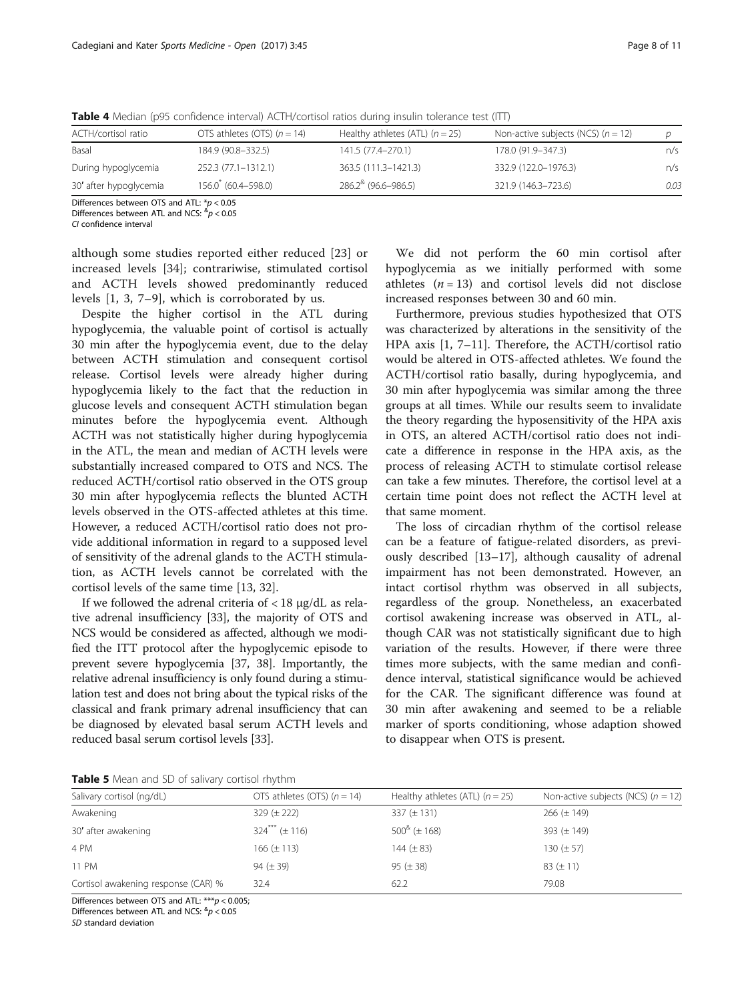| ACTH/cortisol ratio    | OTS athletes (OTS) $(n = 14)$ | Healthy athletes (ATL) $(n = 25)$ | Non-active subjects (NCS) $(n = 12)$ |      |
|------------------------|-------------------------------|-----------------------------------|--------------------------------------|------|
| Basal                  | 184.9 (90.8-332.5)            | 141.5 (77.4-270.1)                | 178.0 (91.9–347.3)                   | n/s  |
| During hypoglycemia    | 252.3 (77.1-1312.1)           | 363.5 (111.3-1421.3)              | 332.9 (122.0-1976.3)                 | n/s  |
| 30' after hypoglycemia | $156.0^{\circ}$ (60.4-598.0)  | $286.2^{\&}$ (96.6-986.5)         | 321.9 (146.3–723.6)                  | 0.03 |

<span id="page-7-0"></span>Table 4 Median (p95 confidence interval) ACTH/cortisol ratios during insulin tolerance test (ITT)

Differences between OTS and ATL: \*p < 0.05

Differences between ATL and NCS:  $\frac{k}{p}$  < 0.05

CI confidence interval

although some studies reported either reduced [\[23](#page-10-0)] or increased levels [[34\]](#page-10-0); contrariwise, stimulated cortisol and ACTH levels showed predominantly reduced levels [[1, 3, 7](#page-10-0)–[9](#page-10-0)], which is corroborated by us.

Despite the higher cortisol in the ATL during hypoglycemia, the valuable point of cortisol is actually 30 min after the hypoglycemia event, due to the delay between ACTH stimulation and consequent cortisol release. Cortisol levels were already higher during hypoglycemia likely to the fact that the reduction in glucose levels and consequent ACTH stimulation began minutes before the hypoglycemia event. Although ACTH was not statistically higher during hypoglycemia in the ATL, the mean and median of ACTH levels were substantially increased compared to OTS and NCS. The reduced ACTH/cortisol ratio observed in the OTS group 30 min after hypoglycemia reflects the blunted ACTH levels observed in the OTS-affected athletes at this time. However, a reduced ACTH/cortisol ratio does not provide additional information in regard to a supposed level of sensitivity of the adrenal glands to the ACTH stimulation, as ACTH levels cannot be correlated with the cortisol levels of the same time [\[13, 32\]](#page-10-0).

If we followed the adrenal criteria of  $<$  18  $\mu$ g/dL as relative adrenal insufficiency [\[33](#page-10-0)], the majority of OTS and NCS would be considered as affected, although we modified the ITT protocol after the hypoglycemic episode to prevent severe hypoglycemia [[37](#page-10-0), [38](#page-10-0)]. Importantly, the relative adrenal insufficiency is only found during a stimulation test and does not bring about the typical risks of the classical and frank primary adrenal insufficiency that can be diagnosed by elevated basal serum ACTH levels and reduced basal serum cortisol levels [\[33\]](#page-10-0).

We did not perform the 60 min cortisol after hypoglycemia as we initially performed with some athletes  $(n = 13)$  and cortisol levels did not disclose increased responses between 30 and 60 min.

Furthermore, previous studies hypothesized that OTS was characterized by alterations in the sensitivity of the HPA axis [[1, 7](#page-10-0)–[11](#page-10-0)]. Therefore, the ACTH/cortisol ratio would be altered in OTS-affected athletes. We found the ACTH/cortisol ratio basally, during hypoglycemia, and 30 min after hypoglycemia was similar among the three groups at all times. While our results seem to invalidate the theory regarding the hyposensitivity of the HPA axis in OTS, an altered ACTH/cortisol ratio does not indicate a difference in response in the HPA axis, as the process of releasing ACTH to stimulate cortisol release can take a few minutes. Therefore, the cortisol level at a certain time point does not reflect the ACTH level at that same moment.

The loss of circadian rhythm of the cortisol release can be a feature of fatigue-related disorders, as previously described [\[13](#page-10-0)–[17\]](#page-10-0), although causality of adrenal impairment has not been demonstrated. However, an intact cortisol rhythm was observed in all subjects, regardless of the group. Nonetheless, an exacerbated cortisol awakening increase was observed in ATL, although CAR was not statistically significant due to high variation of the results. However, if there were three times more subjects, with the same median and confidence interval, statistical significance would be achieved for the CAR. The significant difference was found at 30 min after awakening and seemed to be a reliable marker of sports conditioning, whose adaption showed to disappear when OTS is present.

Table 5 Mean and SD of salivary cortisol rhythm

| Salivary cortisol (ng/dL)           | OTS athletes (OTS) $(n = 14)$ | Healthy athletes (ATL) $(n = 25)$ | Non-active subjects (NCS) $(n = 12)$ |
|-------------------------------------|-------------------------------|-----------------------------------|--------------------------------------|
| Awakening                           | $329 (\pm 222)$               | 337 $(\pm 131)$                   | $266 (\pm 149)$                      |
| 30' after awakening                 | $324***$ ( $\pm$ 116)         | $500^8$ ( $\pm$ 168)              | 393 $(\pm 149)$                      |
| 4 PM                                | $166 (\pm 113)$               | 144 $(\pm 83)$                    | 130 ( $\pm$ 57)                      |
| 11 PM                               | 94 $(\pm 39)$                 | 95 ( $\pm$ 38)                    | $83 (\pm 11)$                        |
| Cortisol awakening response (CAR) % | 32.4                          | 62.2                              | 79.08                                |

Differences between OTS and ATL: \*\*\*p < 0.005;

Differences between ATL and NCS:  $\frac{k}{p}$  < 0.05

SD standard deviation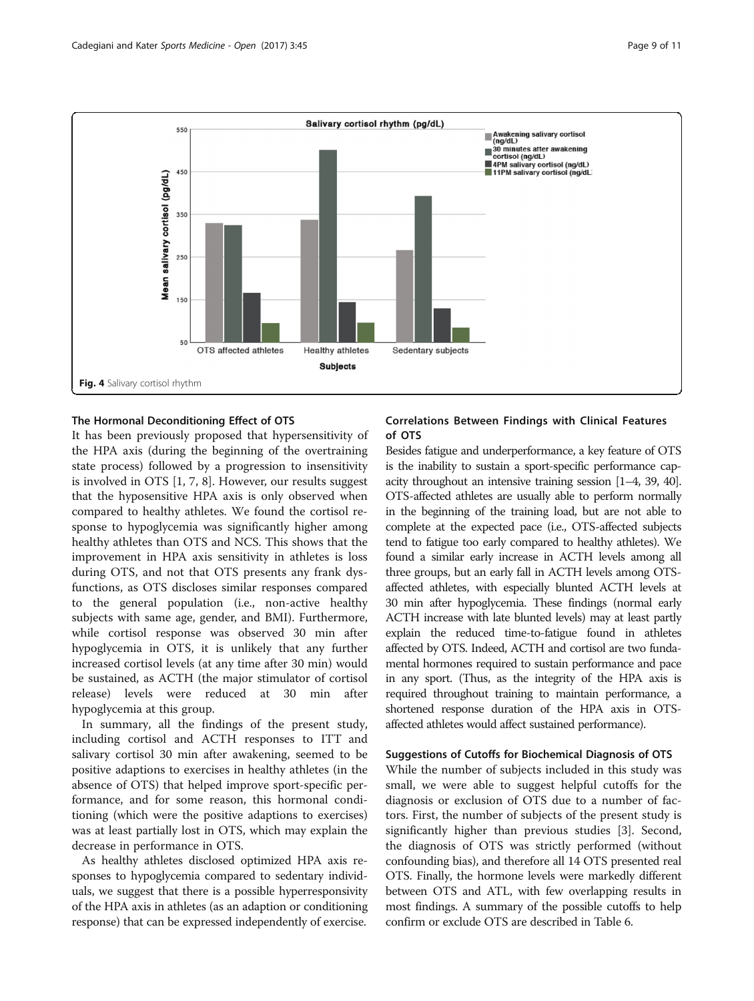<span id="page-8-0"></span>

## The Hormonal Deconditioning Effect of OTS

It has been previously proposed that hypersensitivity of the HPA axis (during the beginning of the overtraining state process) followed by a progression to insensitivity is involved in OTS [[1](#page-10-0), [7](#page-10-0), [8\]](#page-10-0). However, our results suggest that the hyposensitive HPA axis is only observed when compared to healthy athletes. We found the cortisol response to hypoglycemia was significantly higher among healthy athletes than OTS and NCS. This shows that the improvement in HPA axis sensitivity in athletes is loss during OTS, and not that OTS presents any frank dysfunctions, as OTS discloses similar responses compared to the general population (i.e., non-active healthy subjects with same age, gender, and BMI). Furthermore, while cortisol response was observed 30 min after hypoglycemia in OTS, it is unlikely that any further increased cortisol levels (at any time after 30 min) would be sustained, as ACTH (the major stimulator of cortisol release) levels were reduced at 30 min after hypoglycemia at this group.

In summary, all the findings of the present study, including cortisol and ACTH responses to ITT and salivary cortisol 30 min after awakening, seemed to be positive adaptions to exercises in healthy athletes (in the absence of OTS) that helped improve sport-specific performance, and for some reason, this hormonal conditioning (which were the positive adaptions to exercises) was at least partially lost in OTS, which may explain the decrease in performance in OTS.

As healthy athletes disclosed optimized HPA axis responses to hypoglycemia compared to sedentary individuals, we suggest that there is a possible hyperresponsivity of the HPA axis in athletes (as an adaption or conditioning response) that can be expressed independently of exercise.

## Correlations Between Findings with Clinical Features of OTS

Besides fatigue and underperformance, a key feature of OTS is the inability to sustain a sport-specific performance capacity throughout an intensive training session [\[1](#page-10-0)–[4](#page-10-0), [39, 40\]](#page-10-0). OTS-affected athletes are usually able to perform normally in the beginning of the training load, but are not able to complete at the expected pace (i.e., OTS-affected subjects tend to fatigue too early compared to healthy athletes). We found a similar early increase in ACTH levels among all three groups, but an early fall in ACTH levels among OTSaffected athletes, with especially blunted ACTH levels at 30 min after hypoglycemia. These findings (normal early ACTH increase with late blunted levels) may at least partly explain the reduced time-to-fatigue found in athletes affected by OTS. Indeed, ACTH and cortisol are two fundamental hormones required to sustain performance and pace in any sport. (Thus, as the integrity of the HPA axis is required throughout training to maintain performance, a shortened response duration of the HPA axis in OTSaffected athletes would affect sustained performance).

## Suggestions of Cutoffs for Biochemical Diagnosis of OTS

While the number of subjects included in this study was small, we were able to suggest helpful cutoffs for the diagnosis or exclusion of OTS due to a number of factors. First, the number of subjects of the present study is significantly higher than previous studies [\[3\]](#page-10-0). Second, the diagnosis of OTS was strictly performed (without confounding bias), and therefore all 14 OTS presented real OTS. Finally, the hormone levels were markedly different between OTS and ATL, with few overlapping results in most findings. A summary of the possible cutoffs to help confirm or exclude OTS are described in Table [6](#page-9-0).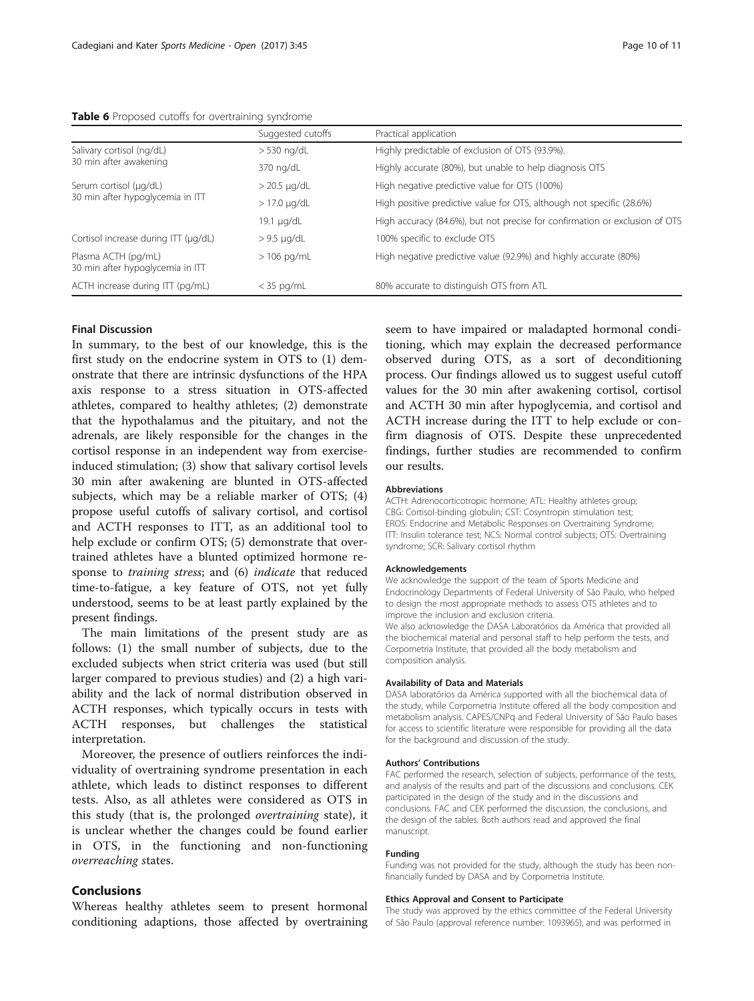<span id="page-9-0"></span>Table 6 Proposed cutoffs for overtraining syndrome

|                                                            | Suggested cutoffs   | Practical application                                                       |
|------------------------------------------------------------|---------------------|-----------------------------------------------------------------------------|
| Salivary cortisol (ng/dL)                                  | $>$ 530 ng/dL       | Highly predictable of exclusion of OTS (93.9%).                             |
| 30 min after awakening                                     | 370 ng/dL           | Highly accurate (80%), but unable to help diagnosis OTS                     |
| Serum cortisol (µg/dL)<br>30 min after hypoglycemia in ITT | $>$ 20.5 $\mu$ g/dL | High negative predictive value for OTS (100%)                               |
|                                                            | $> 17.0 \mu q/dL$   | High positive predictive value for OTS, although not specific (28.6%)       |
|                                                            | 19.1 µg/dL          | High accuracy (84.6%), but not precise for confirmation or exclusion of OTS |
| Cortisol increase during ITT (µg/dL)                       | $> 9.5 \mu q/dL$    | 100% specific to exclude OTS                                                |
| Plasma ACTH (pg/mL)<br>30 min after hypoglycemia in ITT    | $>106$ pg/mL        | High negative predictive value (92.9%) and highly accurate (80%)            |
| ACTH increase during ITT (pg/mL)                           | $<$ 35 pg/mL        | 80% accurate to distinguish OTS from ATL                                    |

## Final Discussion

In summary, to the best of our knowledge, this is the first study on the endocrine system in OTS to (1) demonstrate that there are intrinsic dysfunctions of the HPA axis response to a stress situation in OTS-affected athletes, compared to healthy athletes; (2) demonstrate that the hypothalamus and the pituitary, and not the adrenals, are likely responsible for the changes in the cortisol response in an independent way from exerciseinduced stimulation; (3) show that salivary cortisol levels 30 min after awakening are blunted in OTS-affected subjects, which may be a reliable marker of OTS; (4) propose useful cutoffs of salivary cortisol, and cortisol and ACTH responses to ITT, as an additional tool to help exclude or confirm OTS; (5) demonstrate that overtrained athletes have a blunted optimized hormone response to training stress; and (6) indicate that reduced time-to-fatigue, a key feature of OTS, not yet fully understood, seems to be at least partly explained by the present findings.

The main limitations of the present study are as follows: (1) the small number of subjects, due to the excluded subjects when strict criteria was used (but still larger compared to previous studies) and (2) a high variability and the lack of normal distribution observed in ACTH responses, which typically occurs in tests with ACTH responses, but challenges the statistical interpretation.

Moreover, the presence of outliers reinforces the individuality of overtraining syndrome presentation in each athlete, which leads to distinct responses to different tests. Also, as all athletes were considered as OTS in this study (that is, the prolonged overtraining state), it is unclear whether the changes could be found earlier in OTS, in the functioning and non-functioning overreaching states.

## Conclusions

Whereas healthy athletes seem to present hormonal conditioning adaptions, those affected by overtraining

seem to have impaired or maladapted hormonal conditioning, which may explain the decreased performance observed during OTS, as a sort of deconditioning process. Our findings allowed us to suggest useful cutoff values for the 30 min after awakening cortisol, cortisol and ACTH 30 min after hypoglycemia, and cortisol and ACTH increase during the ITT to help exclude or confirm diagnosis of OTS. Despite these unprecedented findings, further studies are recommended to confirm our results.

#### **Abbreviations**

ACTH: Adrenocorticotropic hormone; ATL: Healthy athletes group; CBG: Cortisol-binding globulin; CST: Cosyntropin stimulation test; EROS: Endocrine and Metabolic Responses on Overtraining Syndrome; ITT: Insulin tolerance test; NCS: Normal control subjects; OTS: Overtraining syndrome; SCR: Salivary cortisol rhythm

#### Acknowledgements

We acknowledge the support of the team of Sports Medicine and Endocrinology Departments of Federal University of São Paulo, who helped to design the most appropriate methods to assess OTS athletes and to improve the inclusion and exclusion criteria.

We also acknowledge the DASA Laboratórios da América that provided all the biochemical material and personal staff to help perform the tests, and Corpometria Institute, that provided all the body metabolism and composition analysis.

#### Availability of Data and Materials

DASA laboratórios da América supported with all the biochemical data of the study, while Corpometria Institute offered all the body composition and metabolism analysis. CAPES/CNPq and Federal University of São Paulo bases for access to scientific literature were responsible for providing all the data for the background and discussion of the study.

#### Authors' Contributions

FAC performed the research, selection of subjects, performance of the tests, and analysis of the results and part of the discussions and conclusions. CEK participated in the design of the study and in the discussions and conclusions. FAC and CEK performed the discussion, the conclusions, and the design of the tables. Both authors read and approved the final manuscript.

#### Funding

Funding was not provided for the study, although the study has been nonfinancially funded by DASA and by Corpometria Institute.

#### Ethics Approval and Consent to Participate

The study was approved by the ethics committee of the Federal University of São Paulo (approval reference number: 1093965), and was performed in